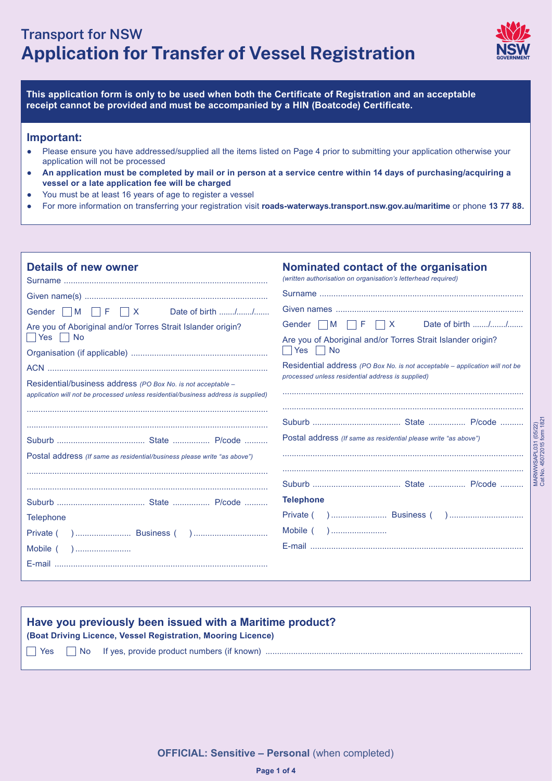# **Transport for NSW Application for Transfer of Vessel Registration**



MARWWSAPL031 (05/22) Cat No. 45072015 form 1821

MARWWSAPL031 (05/22)<br>Cat No. 45072015 form 1821

**This application form is only to be used when both the Certificate of Registration and an acceptable receipt cannot be provided and must be accompanied by a HIN (Boatcode) Certificate.**

#### **Important:**

- Please ensure you have addressed/supplied all the items listed on Page 4 prior to submitting your application otherwise your application will not be processed
- **An application must be completed by mail or in person at a service centre within 14 days of purchasing/acquiring a vessel or a late application fee will be charged**
- You must be at least 16 years of age to register a vessel
- For more information on transferring your registration visit **roads-waterways.transport.nsw.gov.au/maritime** or phone **13 77 88.**

| <b>Details of new owner</b><br>Gender M F X Date of birth //<br>Are you of Aboriginal and/or Torres Strait Islander origin?<br>Residential/business address (PO Box No. is not acceptable -<br>application will not be processed unless residential/business address is supplied) | Nominated contact of the organisation<br>(written authorisation on organisation's letterhead required)<br>Gender $\Box M$ $\Box F$ $\Box X$ Date of birth //<br>Are you of Aboriginal and/or Torres Strait Islander origin?<br>$\vert$ Yes $\vert$ No<br>Residential address (PO Box No. is not acceptable - application will not be<br>processed unless residential address is supplied) |
|-----------------------------------------------------------------------------------------------------------------------------------------------------------------------------------------------------------------------------------------------------------------------------------|-------------------------------------------------------------------------------------------------------------------------------------------------------------------------------------------------------------------------------------------------------------------------------------------------------------------------------------------------------------------------------------------|
| Postal address (If same as residential/business please write "as above")<br><b>Telephone</b>                                                                                                                                                                                      | Postal address (If same as residential please write "as above")<br><b>Telephone</b>                                                                                                                                                                                                                                                                                                       |
|                                                                                                                                                                                                                                                                                   |                                                                                                                                                                                                                                                                                                                                                                                           |

## **Have you previously been issued with a Maritime product?**

**(Boat Driving Licence, Vessel Registration, Mooring Licence)**

Yes No If yes, provide product numbers (if known) ...............................................................................................................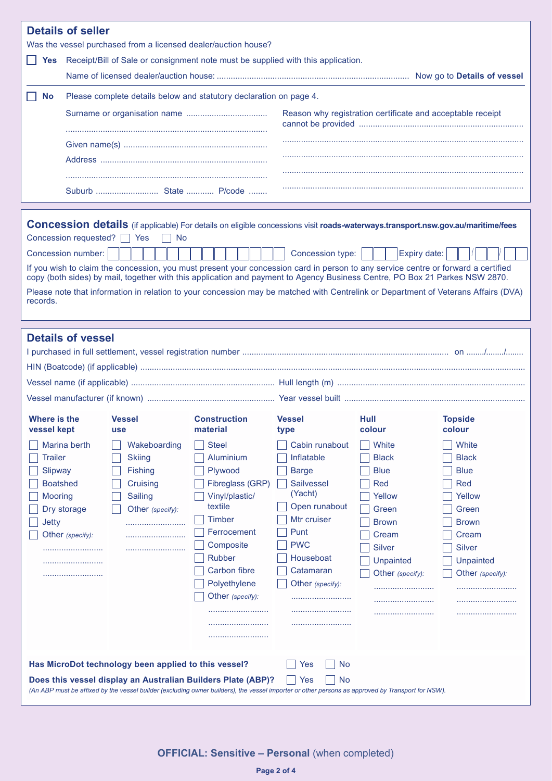| <b>Details of seller</b>                                                                                                                                                                                                                                                                            |                                                                                                                                                                                                                                                                                                                                                                                                                                                                                                                                                                                                                                                        |                                                                                                                                                                                                                |                                                                                                                                                                           |                                                                                                                                           |                                                                                                                                                         |
|-----------------------------------------------------------------------------------------------------------------------------------------------------------------------------------------------------------------------------------------------------------------------------------------------------|--------------------------------------------------------------------------------------------------------------------------------------------------------------------------------------------------------------------------------------------------------------------------------------------------------------------------------------------------------------------------------------------------------------------------------------------------------------------------------------------------------------------------------------------------------------------------------------------------------------------------------------------------------|----------------------------------------------------------------------------------------------------------------------------------------------------------------------------------------------------------------|---------------------------------------------------------------------------------------------------------------------------------------------------------------------------|-------------------------------------------------------------------------------------------------------------------------------------------|---------------------------------------------------------------------------------------------------------------------------------------------------------|
| Was the vessel purchased from a licensed dealer/auction house?                                                                                                                                                                                                                                      |                                                                                                                                                                                                                                                                                                                                                                                                                                                                                                                                                                                                                                                        |                                                                                                                                                                                                                |                                                                                                                                                                           |                                                                                                                                           |                                                                                                                                                         |
| <b>Yes</b>                                                                                                                                                                                                                                                                                          | Receipt/Bill of Sale or consignment note must be supplied with this application.                                                                                                                                                                                                                                                                                                                                                                                                                                                                                                                                                                       |                                                                                                                                                                                                                |                                                                                                                                                                           |                                                                                                                                           |                                                                                                                                                         |
|                                                                                                                                                                                                                                                                                                     |                                                                                                                                                                                                                                                                                                                                                                                                                                                                                                                                                                                                                                                        |                                                                                                                                                                                                                |                                                                                                                                                                           |                                                                                                                                           |                                                                                                                                                         |
|                                                                                                                                                                                                                                                                                                     |                                                                                                                                                                                                                                                                                                                                                                                                                                                                                                                                                                                                                                                        |                                                                                                                                                                                                                |                                                                                                                                                                           |                                                                                                                                           |                                                                                                                                                         |
| <b>No</b>                                                                                                                                                                                                                                                                                           | Please complete details below and statutory declaration on page 4.                                                                                                                                                                                                                                                                                                                                                                                                                                                                                                                                                                                     |                                                                                                                                                                                                                |                                                                                                                                                                           |                                                                                                                                           |                                                                                                                                                         |
|                                                                                                                                                                                                                                                                                                     |                                                                                                                                                                                                                                                                                                                                                                                                                                                                                                                                                                                                                                                        |                                                                                                                                                                                                                |                                                                                                                                                                           | Reason why registration certificate and acceptable receipt                                                                                |                                                                                                                                                         |
|                                                                                                                                                                                                                                                                                                     |                                                                                                                                                                                                                                                                                                                                                                                                                                                                                                                                                                                                                                                        |                                                                                                                                                                                                                |                                                                                                                                                                           |                                                                                                                                           |                                                                                                                                                         |
|                                                                                                                                                                                                                                                                                                     |                                                                                                                                                                                                                                                                                                                                                                                                                                                                                                                                                                                                                                                        |                                                                                                                                                                                                                |                                                                                                                                                                           |                                                                                                                                           |                                                                                                                                                         |
|                                                                                                                                                                                                                                                                                                     |                                                                                                                                                                                                                                                                                                                                                                                                                                                                                                                                                                                                                                                        |                                                                                                                                                                                                                |                                                                                                                                                                           |                                                                                                                                           |                                                                                                                                                         |
|                                                                                                                                                                                                                                                                                                     |                                                                                                                                                                                                                                                                                                                                                                                                                                                                                                                                                                                                                                                        |                                                                                                                                                                                                                |                                                                                                                                                                           |                                                                                                                                           |                                                                                                                                                         |
|                                                                                                                                                                                                                                                                                                     |                                                                                                                                                                                                                                                                                                                                                                                                                                                                                                                                                                                                                                                        |                                                                                                                                                                                                                |                                                                                                                                                                           |                                                                                                                                           |                                                                                                                                                         |
| records.                                                                                                                                                                                                                                                                                            | <b>Concession details</b> (if applicable) For details on eligible concessions visit roads-waterways.transport.nsw.gov.au/maritime/fees<br>Concession requested? □ Yes<br><b>No</b><br>Concession number:<br>Expiry date:<br>Concession type:<br>If you wish to claim the concession, you must present your concession card in person to any service centre or forward a certified<br>copy (both sides) by mail, together with this application and payment to Agency Business Centre, PO Box 21 Parkes NSW 2870.<br>Please note that information in relation to your concession may be matched with Centrelink or Department of Veterans Affairs (DVA) |                                                                                                                                                                                                                |                                                                                                                                                                           |                                                                                                                                           |                                                                                                                                                         |
| <b>Details of vessel</b>                                                                                                                                                                                                                                                                            |                                                                                                                                                                                                                                                                                                                                                                                                                                                                                                                                                                                                                                                        |                                                                                                                                                                                                                |                                                                                                                                                                           |                                                                                                                                           |                                                                                                                                                         |
| Where is the<br>vessel kept                                                                                                                                                                                                                                                                         | <b>Vessel</b><br><b>use</b>                                                                                                                                                                                                                                                                                                                                                                                                                                                                                                                                                                                                                            | <b>Construction</b><br>material                                                                                                                                                                                | <b>Vessel</b><br>type                                                                                                                                                     | Hull<br>colour                                                                                                                            | <b>Topside</b><br>colour                                                                                                                                |
| Marina berth<br><b>Trailer</b><br>Slipway<br><b>Boatshed</b><br><b>Mooring</b><br>Dry storage<br><b>Jetty</b><br>Other (specify):                                                                                                                                                                   | Wakeboarding<br><b>Skiing</b><br><b>Fishing</b><br>Cruising<br><b>Sailing</b><br>Other (specify):                                                                                                                                                                                                                                                                                                                                                                                                                                                                                                                                                      | <b>Steel</b><br>Aluminium<br>Plywood<br>Fibreglass (GRP)<br>Vinyl/plastic/<br>textile<br><b>Timber</b><br>Ferrocement<br>Composite<br><b>Rubber</b><br><b>Carbon fibre</b><br>Polyethylene<br>Other (specify): | Cabin runabout<br>Inflatable<br><b>Barge</b><br>Sailvessel<br>(Yacht)<br>Open runabout<br>Mtr cruiser<br>Punt<br><b>PWC</b><br>Houseboat<br>Catamaran<br>Other (specify): | White<br><b>Black</b><br><b>Blue</b><br>Red<br>Yellow<br>Green<br><b>Brown</b><br>Cream<br><b>Silver</b><br>Unpainted<br>Other (specify): | White<br><b>Black</b><br><b>Blue</b><br><b>Red</b><br>Yellow<br>Green<br><b>Brown</b><br>Cream<br><b>Silver</b><br><b>Unpainted</b><br>Other (specify): |
| Has MicroDot technology been applied to this vessel?<br>Yes<br>No<br>Does this vessel display an Australian Builders Plate (ABP)?<br>Yes<br>No<br>(An ABP must be affixed by the vessel builder (excluding owner builders), the vessel importer or other persons as approved by Transport for NSW). |                                                                                                                                                                                                                                                                                                                                                                                                                                                                                                                                                                                                                                                        |                                                                                                                                                                                                                |                                                                                                                                                                           |                                                                                                                                           |                                                                                                                                                         |

# **OFFICIAL: Sensitive - Personal (when completed)**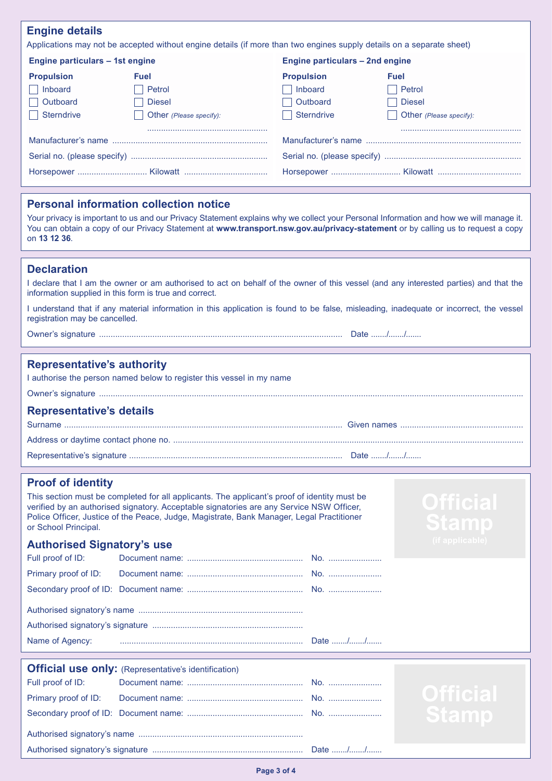# **Engine details**

Applications may not be accepted without engine details (if more than two engines supply details on a separate sheet)

| Engine particulars – 1st engine |                         | Engine particulars – 2nd engine |                         |  |
|---------------------------------|-------------------------|---------------------------------|-------------------------|--|
| <b>Propulsion</b>               | <b>Fuel</b>             | <b>Propulsion</b>               | <b>Fuel</b>             |  |
| Inboard                         | Petrol                  | Inboard                         | Petrol                  |  |
| Outboard                        | <b>Diesel</b>           | <b>Outboard</b>                 | <b>Diesel</b>           |  |
| <b>Sterndrive</b>               | Other (Please specify): | Sterndrive                      | Other (Please specify): |  |
|                                 |                         |                                 |                         |  |
|                                 |                         |                                 |                         |  |
|                                 |                         |                                 |                         |  |
|                                 |                         |                                 |                         |  |

#### **Personal information collection notice**

Your privacy is important to us and our Privacy Statement explains why we collect your Personal Information and how we will manage it. You can obtain a copy of our Privacy Statement at **www.transport.nsw.gov.au/privacy-statement** or by calling us to request a copy on **13 12 36**.

# **Declaration**

| I declare that I am the owner or am authorised to act on behalf of the owner of this vessel (and any interested parties) and that the |  |  |  |
|---------------------------------------------------------------------------------------------------------------------------------------|--|--|--|
| information supplied in this form is true and correct.                                                                                |  |  |  |

I understand that if any material information in this application is found to be false, misleading, inadequate or incorrect, the vessel registration may be cancelled.

Owner's signature ......................................................................................................... Date ......./......./.......

#### **Representative's authority**

| I authorise the person named below to register this vessel in my name |  |  |  |
|-----------------------------------------------------------------------|--|--|--|
|                                                                       |  |  |  |
| <b>Representative's details</b>                                       |  |  |  |
|                                                                       |  |  |  |
|                                                                       |  |  |  |
|                                                                       |  |  |  |

**Stamp** 

#### **Proof of identity**

This section must be completed for all applicants. The applicant's proof of identity must be verified by an authorised signatory. Acceptable signatories are any Service NSW Officer, Police Officer, Justice of the Peace, Judge, Magistrate, Bank Manager, Legal Practitioner or School Principal.

# **Authorised Signatory's use**

| Name of Agency: |  |  |  |
|-----------------|--|--|--|

|                   | <b>Official use only:</b> (Representative's identification) |  |                 |  |
|-------------------|-------------------------------------------------------------|--|-----------------|--|
| Full proof of ID: |                                                             |  |                 |  |
|                   |                                                             |  | <b>Official</b> |  |
|                   |                                                             |  | <b>Stamp</b>    |  |
|                   |                                                             |  |                 |  |
|                   |                                                             |  |                 |  |